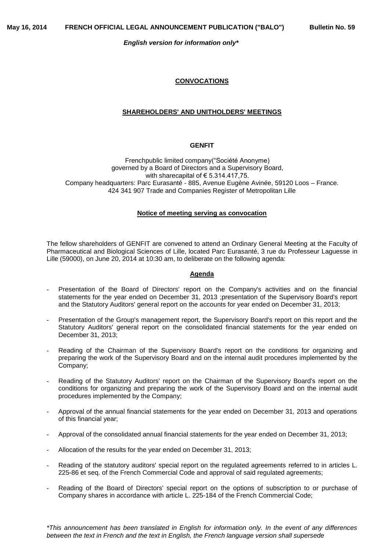### **CONVOCATIONS**

### **SHAREHOLDERS' AND UNITHOLDERS' MEETINGS**

#### **GENFIT**

Frenchpublic limited company("Société Anonyme) governed by a Board of Directors and a Supervisory Board, with sharecapital of  $\epsilon$  5.314.417,75. Company headquarters: Parc Eurasanté - 885, Avenue Eugène Avinée, 59120 Loos – France. 424 341 907 Trade and Companies Register of Metropolitan Lille

### **Notice of meeting serving as convocation**

The fellow shareholders of GENFIT are convened to attend an Ordinary General Meeting at the Faculty of Pharmaceutical and Biological Sciences of Lille, located Parc Eurasanté, 3 rue du Professeur Laguesse in Lille (59000), on June 20, 2014 at 10:30 am, to deliberate on the following agenda:

#### **Agenda**

- Presentation of the Board of Directors' report on the Company's activities and on the financial statements for the year ended on December 31, 2013 ;presentation of the Supervisory Board's report and the Statutory Auditors' general report on the accounts for year ended on December 31, 2013;
- Presentation of the Group's management report, the Supervisory Board's report on this report and the Statutory Auditors' general report on the consolidated financial statements for the year ended on December 31, 2013;
- Reading of the Chairman of the Supervisory Board's report on the conditions for organizing and preparing the work of the Supervisory Board and on the internal audit procedures implemented by the Company;
- Reading of the Statutory Auditors' report on the Chairman of the Supervisory Board's report on the conditions for organizing and preparing the work of the Supervisory Board and on the internal audit procedures implemented by the Company;
- Approval of the annual financial statements for the year ended on December 31, 2013 and operations of this financial year;
- Approval of the consolidated annual financial statements for the year ended on December 31, 2013;
- Allocation of the results for the year ended on December 31, 2013;
- Reading of the statutory auditors' special report on the regulated agreements referred to in articles L. 225-86 et seq. of the French Commercial Code and approval of said regulated agreements;
- Reading of the Board of Directors' special report on the options of subscription to or purchase of Company shares in accordance with article L. 225-184 of the French Commercial Code;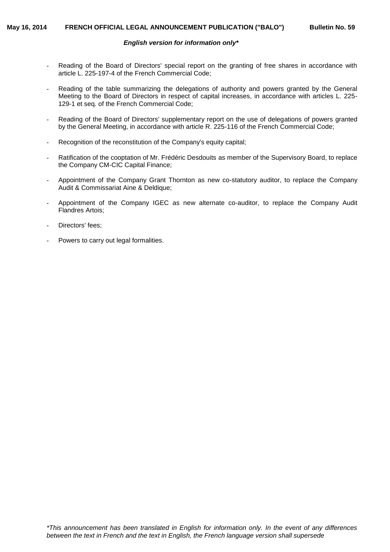- Reading of the Board of Directors' special report on the granting of free shares in accordance with article L. 225-197-4 of the French Commercial Code;
- Reading of the table summarizing the delegations of authority and powers granted by the General Meeting to the Board of Directors in respect of capital increases, in accordance with articles L. 225- 129-1 et seq. of the French Commercial Code;
- Reading of the Board of Directors' supplementary report on the use of delegations of powers granted by the General Meeting, in accordance with article R. 225-116 of the French Commercial Code;
- Recognition of the reconstitution of the Company's equity capital;
- Ratification of the cooptation of Mr. Frédéric Desdouits as member of the Supervisory Board, to replace the Company CM-CIC Capital Finance;
- Appointment of the Company Grant Thornton as new co-statutory auditor, to replace the Company Audit & Commissariat Aine & Deldique;
- Appointment of the Company IGEC as new alternate co-auditor, to replace the Company Audit Flandres Artois;
- Directors' fees:
- Powers to carry out legal formalities.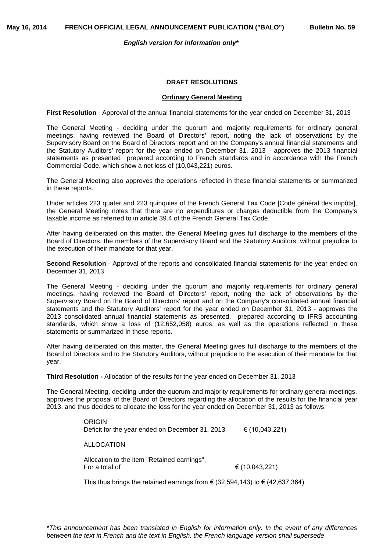### **DRAFT RESOLUTIONS**

### **Ordinary General Meeting**

**First Resolution** - Approval of the annual financial statements for the year ended on December 31, 2013

The General Meeting - deciding under the quorum and majority requirements for ordinary general meetings, having reviewed the Board of Directors' report, noting the lack of observations by the Supervisory Board on the Board of Directors' report and on the Company's annual financial statements and the Statutory Auditors' report for the year ended on December 31, 2013 - approves the 2013 financial statements as presented prepared according to French standards and in accordance with the French Commercial Code, which show a net loss of (10,043,221) euros.

The General Meeting also approves the operations reflected in these financial statements or summarized in these reports.

Under articles 223 quater and 223 quinquies of the French General Tax Code [Code général des impôts], the General Meeting notes that there are no expenditures or charges deductible from the Company's taxable income as referred to in article 39.4 of the French General Tax Code.

After having deliberated on this matter, the General Meeting gives full discharge to the members of the Board of Directors, the members of the Supervisory Board and the Statutory Auditors, without prejudice to the execution of their mandate for that year.

**Second Resolution** - Approval of the reports and consolidated financial statements for the year ended on December 31, 2013

The General Meeting - deciding under the quorum and majority requirements for ordinary general meetings, having reviewed the Board of Directors' report, noting the lack of observations by the Supervisory Board on the Board of Directors' report and on the Company's consolidated annual financial statements and the Statutory Auditors' report for the year ended on December 31, 2013 - approves the 2013 consolidated annual financial statements as presented, prepared according to IFRS accounting standards, which show a loss of (12,652,058) euros, as well as the operations reflected in these statements or summarized in these reports.

After having deliberated on this matter, the General Meeting gives full discharge to the members of the Board of Directors and to the Statutory Auditors, without prejudice to the execution of their mandate for that year.

**Third Resolution -** Allocation of the results for the year ended on December 31, 2013

The General Meeting, deciding under the quorum and majority requirements for ordinary general meetings, approves the proposal of the Board of Directors regarding the allocation of the results for the financial year 2013, and thus decides to allocate the loss for the year ended on December 31, 2013 as follows:

> ORIGIN Deficit for the year ended on December 31, 2013  $\epsilon$  (10,043,221) ALLOCATION Allocation to the item "Retained earnings", For a total of  $(10.043.221)$

This thus brings the retained earnings from  $\epsilon$  (32,594,143) to  $\epsilon$  (42,637,364)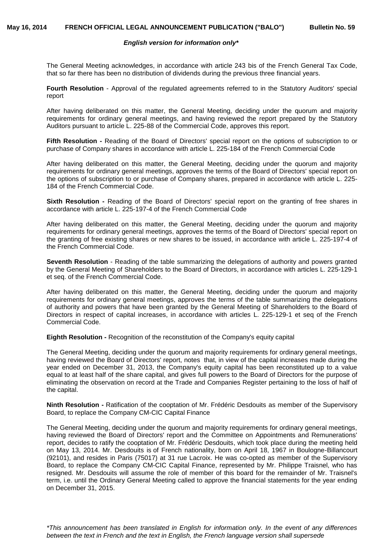The General Meeting acknowledges, in accordance with article 243 bis of the French General Tax Code, that so far there has been no distribution of dividends during the previous three financial years.

**Fourth Resolution** - Approval of the regulated agreements referred to in the Statutory Auditors' special report

After having deliberated on this matter, the General Meeting, deciding under the quorum and majority requirements for ordinary general meetings, and having reviewed the report prepared by the Statutory Auditors pursuant to article L. 225-88 of the Commercial Code, approves this report.

**Fifth Resolution -** Reading of the Board of Directors' special report on the options of subscription to or purchase of Company shares in accordance with article L. 225-184 of the French Commercial Code

After having deliberated on this matter, the General Meeting, deciding under the quorum and majority requirements for ordinary general meetings, approves the terms of the Board of Directors' special report on the options of subscription to or purchase of Company shares, prepared in accordance with article L. 225- 184 of the French Commercial Code.

**Sixth Resolution -** Reading of the Board of Directors' special report on the granting of free shares in accordance with article L. 225-197-4 of the French Commercial Code

After having deliberated on this matter, the General Meeting, deciding under the quorum and majority requirements for ordinary general meetings, approves the terms of the Board of Directors' special report on the granting of free existing shares or new shares to be issued, in accordance with article L. 225-197-4 of the French Commercial Code.

**Seventh Resolution** - Reading of the table summarizing the delegations of authority and powers granted by the General Meeting of Shareholders to the Board of Directors, in accordance with articles L. 225-129-1 et seq. of the French Commercial Code.

After having deliberated on this matter, the General Meeting, deciding under the quorum and majority requirements for ordinary general meetings, approves the terms of the table summarizing the delegations of authority and powers that have been granted by the General Meeting of Shareholders to the Board of Directors in respect of capital increases, in accordance with articles L. 225-129-1 et seq of the French Commercial Code.

**Eighth Resolution -** Recognition of the reconstitution of the Company's equity capital

The General Meeting, deciding under the quorum and majority requirements for ordinary general meetings, having reviewed the Board of Directors' report, notes that, in view of the capital increases made during the year ended on December 31, 2013, the Company's equity capital has been reconstituted up to a value equal to at least half of the share capital, and gives full powers to the Board of Directors for the purpose of eliminating the observation on record at the Trade and Companies Register pertaining to the loss of half of the capital.

**Ninth Resolution -** Ratification of the cooptation of Mr. Frédéric Desdouits as member of the Supervisory Board, to replace the Company CM-CIC Capital Finance

The General Meeting, deciding under the quorum and majority requirements for ordinary general meetings, having reviewed the Board of Directors' report and the Committee on Appointments and Remunerations' report, decides to ratify the cooptation of Mr. Frédéric Desdouits, which took place during the meeting held on May 13, 2014. Mr. Desdouits is of French nationality, born on April 18, 1967 in Boulogne-Billancourt (92101), and resides in Paris (75017) at 31 rue Lacroix. He was co-opted as member of the Supervisory Board, to replace the Company CM-CIC Capital Finance, represented by Mr. Philippe Traisnel, who has resigned. Mr. Desdouits will assume the role of member of this board for the remainder of Mr. Traisnel's term, i.e. until the Ordinary General Meeting called to approve the financial statements for the year ending on December 31, 2015.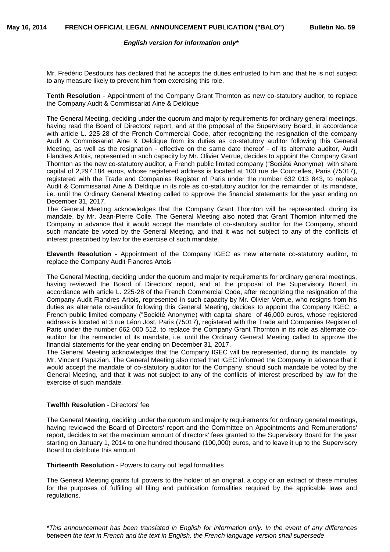Mr. Frédéric Desdouits has declared that he accepts the duties entrusted to him and that he is not subject to any measure likely to prevent him from exercising this role.

**Tenth Resolution** - Appointment of the Company Grant Thornton as new co-statutory auditor, to replace the Company Audit & Commissariat Aine & Deldique

The General Meeting, deciding under the quorum and majority requirements for ordinary general meetings, having read the Board of Directors' report, and at the proposal of the Supervisory Board, in accordance with article L. 225-28 of the French Commercial Code, after recognizing the resignation of the company Audit & Commissariat Aine & Deldique from its duties as co-statutory auditor following this General Meeting, as well as the resignation - effective on the same date thereof - of its alternate auditor, Audit Flandres Artois, represented in such capacity by Mr. Olivier Verrue, decides to appoint the Company Grant Thornton as the new co-statutory auditor, a French public limited company ("Société Anonyme) with share capital of 2,297,184 euros, whose registered address is located at 100 rue de Courcelles, Paris (75017), registered with the Trade and Companies Register of Paris under the number 632 013 843, to replace Audit & Commissariat Aine & Deldique in its role as co-statutory auditor for the remainder of its mandate, i.e. until the Ordinary General Meeting called to approve the financial statements for the year ending on December 31, 2017.

The General Meeting acknowledges that the Company Grant Thornton will be represented, during its mandate, by Mr. Jean-Pierre Colle. The General Meeting also noted that Grant Thornton informed the Company in advance that it would accept the mandate of co-statutory auditor for the Company, should such mandate be voted by the General Meeting, and that it was not subject to any of the conflicts of interest prescribed by law for the exercise of such mandate.

**Eleventh Resolution -** Appointment of the Company IGEC as new alternate co-statutory auditor, to replace the Company Audit Flandres Artois

The General Meeting, deciding under the quorum and majority requirements for ordinary general meetings, having reviewed the Board of Directors' report, and at the proposal of the Supervisory Board, in accordance with article L. 225-28 of the French Commercial Code, after recognizing the resignation of the Company Audit Flandres Artois, represented in such capacity by Mr. Olivier Verrue, who resigns from his duties as alternate co-auditor following this General Meeting, decides to appoint the Company IGEC, a French public limited company ("Société Anonyme) with capital share of 46,000 euros, whose registered address is located at 3 rue Léon Jost, Paris (75017), registered with the Trade and Companies Register of Paris under the number 662 000 512, to replace the Company Grant Thornton in its role as alternate coauditor for the remainder of its mandate, i.e. until the Ordinary General Meeting called to approve the financial statements for the year ending on December 31, 2017.

The General Meeting acknowledges that the Company IGEC will be represented, during its mandate, by Mr. Vincent Papazian. The General Meeting also noted that IGEC informed the Company in advance that it would accept the mandate of co-statutory auditor for the Company, should such mandate be voted by the General Meeting, and that it was not subject to any of the conflicts of interest prescribed by law for the exercise of such mandate.

### **Twelfth Resolution** - Directors' fee

The General Meeting, deciding under the quorum and majority requirements for ordinary general meetings, having reviewed the Board of Directors' report and the Committee on Appointments and Remunerations' report, decides to set the maximum amount of directors' fees granted to the Supervisory Board for the year starting on January 1, 2014 to one hundred thousand (100,000) euros, and to leave it up to the Supervisory Board to distribute this amount.

### **Thirteenth Resolution** - Powers to carry out legal formalities

The General Meeting grants full powers to the holder of an original, a copy or an extract of these minutes for the purposes of fulfilling all filing and publication formalities required by the applicable laws and regulations.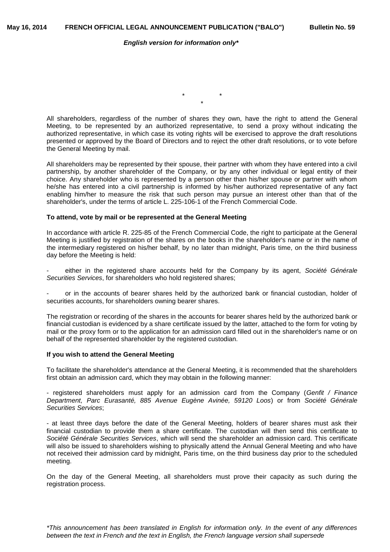\* \* \*

All shareholders, regardless of the number of shares they own, have the right to attend the General Meeting, to be represented by an authorized representative, to send a proxy without indicating the authorized representative, in which case its voting rights will be exercised to approve the draft resolutions presented or approved by the Board of Directors and to reject the other draft resolutions, or to vote before the General Meeting by mail.

All shareholders may be represented by their spouse, their partner with whom they have entered into a civil partnership, by another shareholder of the Company, or by any other individual or legal entity of their choice. Any shareholder who is represented by a person other than his/her spouse or partner with whom he/she has entered into a civil partnership is informed by his/her authorized representative of any fact enabling him/her to measure the risk that such person may pursue an interest other than that of the shareholder's, under the terms of article L. 225-106-1 of the French Commercial Code.

### **To attend, vote by mail or be represented at the General Meeting**

In accordance with article R. 225-85 of the French Commercial Code, the right to participate at the General Meeting is justified by registration of the shares on the books in the shareholder's name or in the name of the intermediary registered on his/her behalf, by no later than midnight, Paris time, on the third business day before the Meeting is held:

- either in the registered share accounts held for the Company by its agent, *Société Générale*  Securities Services, for shareholders who hold registered shares;

or in the accounts of bearer shares held by the authorized bank or financial custodian, holder of securities accounts, for shareholders owning bearer shares.

The registration or recording of the shares in the accounts for bearer shares held by the authorized bank or financial custodian is evidenced by a share certificate issued by the latter, attached to the form for voting by mail or the proxy form or to the application for an admission card filled out in the shareholder's name or on behalf of the represented shareholder by the registered custodian.

### **If you wish to attend the General Meeting**

To facilitate the shareholder's attendance at the General Meeting, it is recommended that the shareholders first obtain an admission card, which they may obtain in the following manner:

- registered shareholders must apply for an admission card from the Company (*Genfit / Finance Department, Parc Eurasanté, 885 Avenue Eugène Avinée, 59120 Loos*) or from *Société Générale Securities Services*;

- at least three days before the date of the General Meeting, holders of bearer shares must ask their financial custodian to provide them a share certificate. The custodian will then send this certificate to *Société Générale Securities Services*, which will send the shareholder an admission card. This certificate will also be issued to shareholders wishing to physically attend the Annual General Meeting and who have not received their admission card by midnight, Paris time, on the third business day prior to the scheduled meeting.

On the day of the General Meeting, all shareholders must prove their capacity as such during the registration process.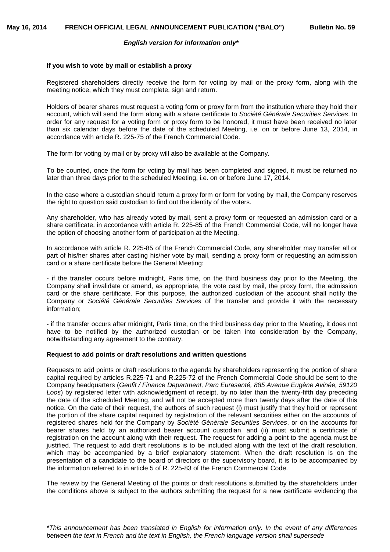### **If you wish to vote by mail or establish a proxy**

Registered shareholders directly receive the form for voting by mail or the proxy form, along with the meeting notice, which they must complete, sign and return.

Holders of bearer shares must request a voting form or proxy form from the institution where they hold their account, which will send the form along with a share certificate to *Société Générale Securities Services*. In order for any request for a voting form or proxy form to be honored, it must have been received no later than six calendar days before the date of the scheduled Meeting, i.e. on or before June 13, 2014, in accordance with article R. 225-75 of the French Commercial Code.

The form for voting by mail or by proxy will also be available at the Company.

To be counted, once the form for voting by mail has been completed and signed, it must be returned no later than three days prior to the scheduled Meeting, i.e. on or before June 17, 2014.

In the case where a custodian should return a proxy form or form for voting by mail, the Company reserves the right to question said custodian to find out the identity of the voters.

Any shareholder, who has already voted by mail, sent a proxy form or requested an admission card or a share certificate, in accordance with article R. 225-85 of the French Commercial Code, will no longer have the option of choosing another form of participation at the Meeting.

In accordance with article R. 225-85 of the French Commercial Code, any shareholder may transfer all or part of his/her shares after casting his/her vote by mail, sending a proxy form or requesting an admission card or a share certificate before the General Meeting:

- if the transfer occurs before midnight, Paris time, on the third business day prior to the Meeting, the Company shall invalidate or amend, as appropriate, the vote cast by mail, the proxy form, the admission card or the share certificate. For this purpose, the authorized custodian of the account shall notify the Company or *Société Générale Securities Services* of the transfer and provide it with the necessary information;

- if the transfer occurs after midnight, Paris time, on the third business day prior to the Meeting, it does not have to be notified by the authorized custodian or be taken into consideration by the Company, notwithstanding any agreement to the contrary.

### **Request to add points or draft resolutions and written questions**

Requests to add points or draft resolutions to the agenda by shareholders representing the portion of share capital required by articles R.225-71 and R.225-72 of the French Commercial Code should be sent to the Company headquarters (*Genfit / Finance Department, Parc Eurasanté, 885 Avenue Eugène Avinée, 59120 Loos*) by registered letter with acknowledgment of receipt, by no later than the twenty-fifth day preceding the date of the scheduled Meeting, and will not be accepted more than twenty days after the date of this notice. On the date of their request, the authors of such request (i) must justify that they hold or represent the portion of the share capital required by registration of the relevant securities either on the accounts of registered shares held for the Company by *Société Générale Securities Services*, or on the accounts for bearer shares held by an authorized bearer account custodian, and (ii) must submit a certificate of registration on the account along with their request. The request for adding a point to the agenda must be justified. The request to add draft resolutions is to be included along with the text of the draft resolution, which may be accompanied by a brief explanatory statement. When the draft resolution is on the presentation of a candidate to the board of directors or the supervisory board, it is to be accompanied by the information referred to in article 5 of R. 225-83 of the French Commercial Code.

The review by the General Meeting of the points or draft resolutions submitted by the shareholders under the conditions above is subject to the authors submitting the request for a new certificate evidencing the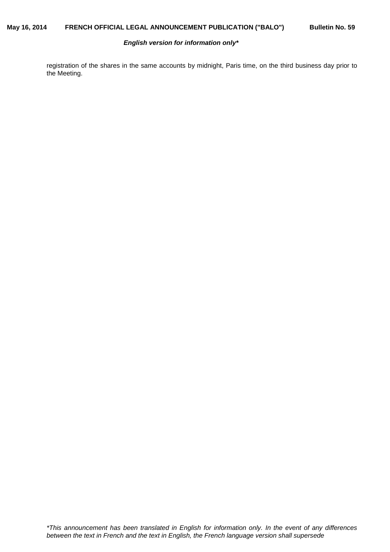registration of the shares in the same accounts by midnight, Paris time, on the third business day prior to the Meeting.